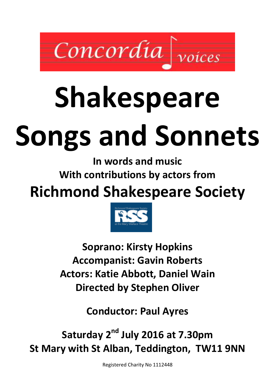

# Shakespeare Songs and Sonnets

In words and music With contributions by actors from

Richmond Shakespeare Society



Soprano: Kirsty Hopkins Accompanist: Gavin Roberts Actors: Katie Abbott, Daniel Wain Directed by Stephen Oliver

Conductor: Paul Ayres

Saturday 2<sup>nd</sup> July 2016 at 7.30pm St Mary with St Alban, Teddington, TW11 9NN

Registered Charity No 1112448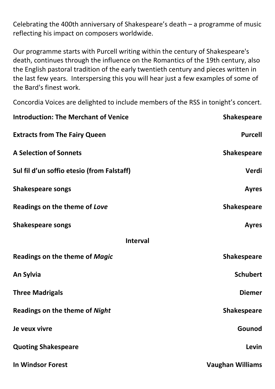Celebrating the 400th anniversary of Shakespeare's death – a programme of music reflecting his impact on composers worldwide.

Our programme starts with Purcell writing within the century of Shakespeare's death, continues through the influence on the Romantics of the 19th century, also the English pastoral tradition of the early twentieth century and pieces written in the last few years. Interspersing this you will hear just a few examples of some of the Bard's finest work.

Concordia Voices are delighted to include members of the RSS in tonight's concert.

| <b>Introduction: The Merchant of Venice</b> | <b>Shakespeare</b>      |  |  |
|---------------------------------------------|-------------------------|--|--|
| <b>Extracts from The Fairy Queen</b>        | <b>Purcell</b>          |  |  |
| <b>A Selection of Sonnets</b>               | <b>Shakespeare</b>      |  |  |
| Sul fil d'un soffio etesio (from Falstaff)  | Verdi                   |  |  |
| <b>Shakespeare songs</b>                    | <b>Ayres</b>            |  |  |
| Readings on the theme of Love               | <b>Shakespeare</b>      |  |  |
| <b>Shakespeare songs</b>                    | <b>Ayres</b>            |  |  |
| <b>Interval</b>                             |                         |  |  |
| Readings on the theme of Magic              | <b>Shakespeare</b>      |  |  |
| An Sylvia                                   | <b>Schubert</b>         |  |  |
| <b>Three Madrigals</b>                      | <b>Diemer</b>           |  |  |
| <b>Readings on the theme of Night</b>       | <b>Shakespeare</b>      |  |  |
| Je veux vivre                               | Gounod                  |  |  |
| <b>Quoting Shakespeare</b>                  | Levin                   |  |  |
| <b>In Windsor Forest</b>                    | <b>Vaughan Williams</b> |  |  |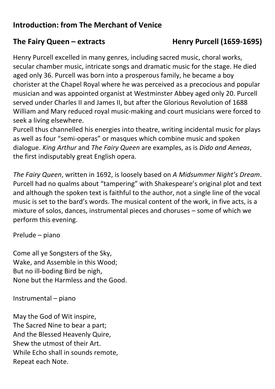# Introduction: from The Merchant of Venice

### The Fairy Queen – extracts Henry Purcell (1659-1695)

Henry Purcell excelled in many genres, including sacred music, choral works, secular chamber music, intricate songs and dramatic music for the stage. He died aged only 36. Purcell was born into a prosperous family, he became a boy chorister at the Chapel Royal where he was perceived as a precocious and popular musician and was appointed organist at Westminster Abbey aged only 20. Purcell served under Charles II and James II, but after the Glorious Revolution of 1688 William and Mary reduced royal music-making and court musicians were forced to seek a living elsewhere.

Purcell thus channelled his energies into theatre, writing incidental music for plays as well as four "semi-operas" or masques which combine music and spoken dialogue. King Arthur and The Fairy Queen are examples, as is Dido and Aeneas, the first indisputably great English opera.

The Fairy Queen, written in 1692, is loosely based on A Midsummer Night's Dream. Purcell had no qualms about "tampering" with Shakespeare's original plot and text and although the spoken text is faithful to the author, not a single line of the vocal music is set to the bard's words. The musical content of the work, in five acts, is a mixture of solos, dances, instrumental pieces and choruses – some of which we perform this evening.

Prelude – piano

Come all ye Songsters of the Sky, Wake, and Assemble in this Wood; But no ill-boding Bird be nigh, None but the Harmless and the Good.

Instrumental – piano

May the God of Wit inspire, The Sacred Nine to bear a part; And the Blessed Heavenly Quire, Shew the utmost of their Art. While Echo shall in sounds remote, Repeat each Note.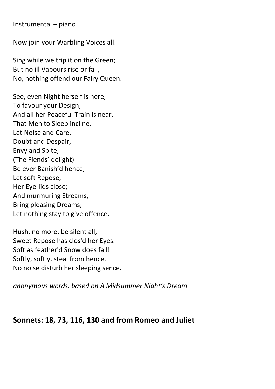Instrumental – piano

Now join your Warbling Voices all.

Sing while we trip it on the Green; But no ill Vapours rise or fall, No, nothing offend our Fairy Queen.

See, even Night herself is here, To favour your Design; And all her Peaceful Train is near, That Men to Sleep incline. Let Noise and Care, Doubt and Despair, Envy and Spite, (The Fiends' delight) Be ever Banish'd hence, Let soft Repose, Her Eye-lids close; And murmuring Streams, Bring pleasing Dreams; Let nothing stay to give offence.

Hush, no more, be silent all, Sweet Repose has clos'd her Eyes. Soft as feather'd Snow does fall! Softly, softly, steal from hence. No noise disturb her sleeping sence.

anonymous words, based on A Midsummer Night's Dream

### Sonnets: 18, 73, 116, 130 and from Romeo and Juliet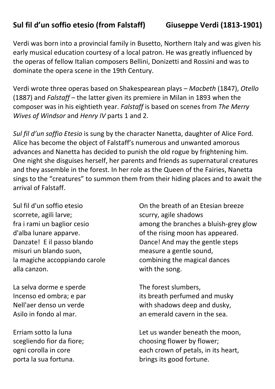# Sul fil d'un soffio etesio (from Falstaff) Giuseppe Verdi (1813-1901)

Verdi was born into a provincial family in Busetto, Northern Italy and was given his early musical education courtesy of a local patron. He was greatly influenced by the operas of fellow Italian composers Bellini, Donizetti and Rossini and was to dominate the opera scene in the 19th Century.

Verdi wrote three operas based on Shakespearean plays – Macbeth (1847), Otello (1887) and Falstaff – the latter given its premiere in Milan in 1893 when the composer was in his eightieth year. Falstaff is based on scenes from The Merry Wives of Windsor and Henry IV parts 1 and 2.

Sul fil d'un soffio Etesio is sung by the character Nanetta, daughter of Alice Ford. Alice has become the object of Falstaff's numerous and unwanted amorous advances and Nanetta has decided to punish the old rogue by frightening him. One night she disguises herself, her parents and friends as supernatural creatures and they assemble in the forest. In her role as the Queen of the Fairies, Nanetta sings to the "creatures" to summon them from their hiding places and to await the arrival of Falstaff.

Sul fil d'un soffio etesio scorrete, agili larve; fra i rami un baglior cesio d'alba lunare apparve. Danzate! E il passo blando misuri un blando suon, la magiche accoppiando carole alla canzon.

La selva dorme e sperde Incenso ed ombra; e par Nell'aer denso un verde Asilo in fondo al mar.

Erriam sotto la luna scegliendo fior da fiore; ogni corolla in core porta la sua fortuna.

On the breath of an Etesian breeze scurry, agile shadows among the branches a bluish-grey glow of the rising moon has appeared. Dance! And may the gentle steps measure a gentle sound, combining the magical dances with the song.

The forest slumbers, its breath perfumed and musky with shadows deep and dusky, an emerald cavern in the sea.

Let us wander beneath the moon, choosing flower by flower; each crown of petals, in its heart, brings its good fortune.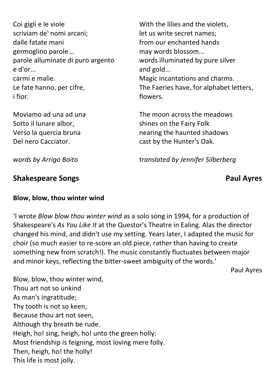| Coi gigli e le viole              | With the    |
|-----------------------------------|-------------|
| scriviam de' nomi arcani;         | let us writ |
| dalle fatate mani                 | from our    |
| germoglino parole                 | may word    |
| parole alluminate di puro argento | words illu  |
| e d'or                            | and gold.   |
| carmi e malie.                    | Magic inc   |
| Le fate hanno, per cifre,         | The Faeri   |
| <i>i</i> fior.                    | flowers.    |
|                                   |             |

Moviamo ad una ad una Sotto il lunare albor, Verso la quercia bruna Del nero Cacciator.

lilies and the violets, te secret names; enchanted hands ds blossom... iminated by pure silver and gold... antations and charms. es have, for alphabet letters,

The moon across the meadows shines on the Fairy Folk nearing the haunted shadows cast by the Hunter's Oak.

translated by Jennifer Silberberg

words by Arrigo Boito

### Shakespeare Songs **Paul Ayres** Paul Ayres

### Blow, blow, thou winter wind

'I wrote Blow blow thou winter wind as a solo song in 1994, for a production of Shakespeare's As You Like It at the Questor's Theatre in Ealing. Alas the director changed his mind, and didn't use my setting. Years later, I adapted the music for choir (so much easier to re-score an old piece, rather than having to create something new from scratch!). The music constantly fluctuates between major and minor keys, reflecting the bitter-sweet ambiguity of the words.'

Paul Ayres

Blow, blow, thou winter wind, Thou art not so unkind As man's ingratitude; Thy tooth is not so keen, Because thou art not seen, Although thy breath be rude. Heigh, ho! sing, heigh, ho! unto the green holly: Most friendship is feigning, most loving mere folly. Then, heigh, ho! the holly! This life is most jolly.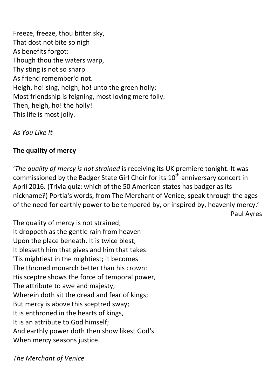Freeze, freeze, thou bitter sky, That dost not bite so nigh As benefits forgot: Though thou the waters warp, Thy sting is not so sharp As friend remember'd not. Heigh, ho! sing, heigh, ho! unto the green holly: Most friendship is feigning, most loving mere folly. Then, heigh, ho! the holly! This life is most jolly.

As You Like It

### The quality of mercy

'The quality of mercy is not strained is receiving its UK premiere tonight. It was commissioned by the Badger State Girl Choir for its  $10<sup>th</sup>$  anniversary concert in April 2016. (Trivia quiz: which of the 50 American states has badger as its nickname?) Portia's words, from The Merchant of Venice, speak through the ages of the need for earthly power to be tempered by, or inspired by, heavenly mercy.' Paul Ayres

The quality of mercy is not strained; It droppeth as the gentle rain from heaven Upon the place beneath. It is twice blest; It blesseth him that gives and him that takes: 'Tis mightiest in the mightiest; it becomes The throned monarch better than his crown: His sceptre shows the force of temporal power, The attribute to awe and majesty, Wherein doth sit the dread and fear of kings; But mercy is above this sceptred sway; It is enthroned in the hearts of kings, It is an attribute to God himself; And earthly power doth then show likest God's When mercy seasons justice.

The Merchant of Venice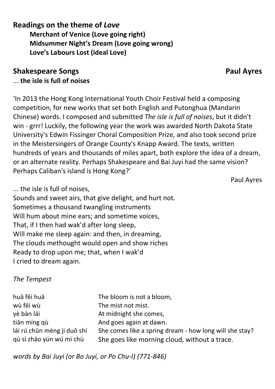### Readings on the theme of Love

 Merchant of Venice (Love going right) Midsummer Night's Dream (Love going wrong) Love's Labours Lost (ideal Love)

# Shakespeare Songs **Paul Ayres** Paul Ayres

### ... the isle is full of noises

'In 2013 the Hong Kong International Youth Choir Festival held a composing competition, for new works that set both English and Putonghua (Mandarin Chinese) words. I composed and submitted The isle is full of noises, but it didn't win - grrr! Luckily, the following year the work was awarded North Dakota State University's Edwin Fissinger Choral Composition Prize, and also took second prize in the Meistersingers of Orange County's Knapp Award. The texts, written hundreds of years and thousands of miles apart, both explore the idea of a dream, or an alternate reality. Perhaps Shakespeare and Bai Juyi had the same vision? Perhaps Caliban's island is Hong Kong?'

Paul Ayres

... the isle is full of noises,

Sounds and sweet airs, that give delight, and hurt not. Sometimes a thousand twangling instruments Will hum about mine ears; and sometime voices, That, if I then had wak'd after long sleep, Will make me sleep again: and then, in dreaming, The clouds methought would open and show riches Ready to drop upon me; that, when I wak'd I cried to dream again.

### The Tempest

| huā fēi huā                 | The bloom is not a bloom,                               |
|-----------------------------|---------------------------------------------------------|
| wù fēi wù                   | The mist not mist.                                      |
| yè bàn lái                  | At midnight she comes,                                  |
| tiān míng qù                | And goes again at dawn.                                 |
| lái rú chūn mèng ji duō shí | She comes like a spring dream - how long will she stay? |
| qù sì zhāo yún wú mì chù    | She goes like morning cloud, without a trace.           |

words by Bai Juyi (or Bo Juyi, or Po Chu-I) (771-846)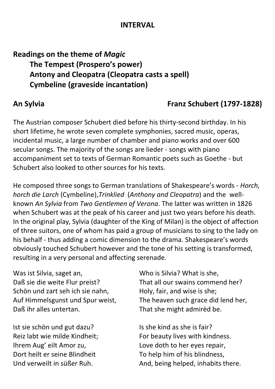### INTERVAL

# Readings on the theme of Magic The Tempest (Prospero's power) Antony and Cleopatra (Cleopatra casts a spell) Cymbeline (graveside incantation)

# An Sylvia Franz Schubert (1797-1828)

The Austrian composer Schubert died before his thirty-second birthday. In his short lifetime, he wrote seven complete symphonies, sacred music, operas, incidental music, a large number of chamber and piano works and over 600 secular songs. The majority of the songs are lieder - songs with piano accompaniment set to texts of German Romantic poets such as Goethe - but Schubert also looked to other sources for his texts.

He composed three songs to German translations of Shakespeare's words - Horch, horch die Larch (Cymbeline),Trinklied (Anthony and Cleopatra) and the wellknown An Sylvia from Two Gentlemen of Verona. The latter was written in 1826 when Schubert was at the peak of his career and just two years before his death. In the original play, Sylvia (daughter of the King of Milan) is the object of affection of three suitors, one of whom has paid a group of musicians to sing to the lady on his behalf - thus adding a comic dimension to the drama. Shakespeare's words obviously touched Schubert however and the tone of his setting is transformed, resulting in a very personal and affecting serenade.

Was ist Silvia, saget an, Daß sie die weite Flur preist? Schön und zart seh ich sie nahn, Auf Himmelsgunst und Spur weist, Daß ihr alles untertan.

Ist sie schön und gut dazu? Reiz labt wie milde Kindheit; Ihrem Aug' eilt Amor zu, Dort heilt er seine Blindheit Und verweilt in süßer Ruh.

Who is Silvia? What is she, That all our swains commend her? Holy, fair, and wise is she; The heaven such grace did lend her, That she might admirèd be.

Is she kind as she is fair? For beauty lives with kindness. Love doth to her eyes repair, To help him of his blindness, And, being helped, inhabits there.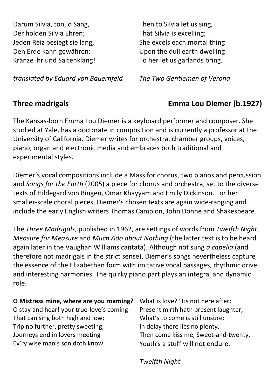Darum Silvia, tön, o Sang, Der holden Silvia Ehren; Jeden Reiz besiegt sie lang, Den Erde kann gewähren: Kränze ihr und Saitenklang!

Then to Silvia let us sing, That Silvia is excelling; She excels each mortal thing Upon the dull earth dwelling: To her let us garlands bring.

translated by Eduard von Bauernfeld

The Two Gentlemen of Verona

# Three madrigals Emma Lou Diemer (b.1927)

The Kansas-born Emma Lou Diemer is a keyboard performer and composer. She studied at Yale, has a doctorate in composition and is currently a professor at the University of California. Diemer writes for orchestra, chamber groups, voices, piano, organ and electronic media and embraces both traditional and experimental styles.

Diemer's vocal compositions include a Mass for chorus, two pianos and percussion and Songs for the Earth (2005) a piece for chorus and orchestra, set to the diverse texts of Hildegard von Bingen, Omar Khayyam and Emily Dickinson. For her smaller-scale choral pieces, Diemer's chosen texts are again wide-ranging and include the early English writers Thomas Campion, John Donne and Shakespeare.

The Three Madrigals, published in 1962, are settings of words from Twelfth Night, Measure for Measure and Much Ado about Nothing (the latter text is to be heard again later in the Vaughan Williams cantata). Although not sung a capella (and therefore not madrigals in the strict sense), Diemer's songs nevertheless capture the essence of the Elizabethan form with imitative vocal passages, rhythmic drive and interesting harmonies. The quirky piano part plays an integral and dynamic role.

### O Mistress mine, where are you roaming?

O stay and hear! your true-love's coming That can sing both high and low; Trip no further, pretty sweeting, Journeys end in lovers meeting Ev'ry wise man's son doth know.

What is love? 'Tis not here after; Present mirth hath present laughter; What's to come is still unsure: In delay there lies no plenty, Then come kiss me, Sweet-and-twenty, Youth's a stuff will not endure.

Twelfth Night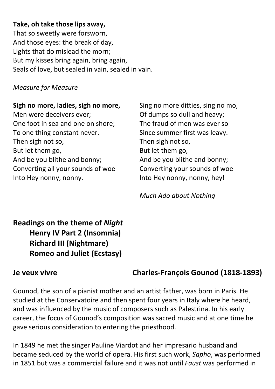### Take, oh take those lips away,

That so sweetly were forsworn, And those eyes: the break of day, Lights that do mislead the morn; But my kisses bring again, bring again, Seals of love, but sealed in vain, sealed in vain.

Measure for Measure

### Sigh no more, ladies, sigh no more,

Men were deceivers ever; One foot in sea and one on shore; To one thing constant never. Then sigh not so, But let them go, And be you blithe and bonny; Converting all your sounds of woe Into Hey nonny, nonny.

Sing no more ditties, sing no mo, Of dumps so dull and heavy; The fraud of men was ever so Since summer first was leavy. Then sigh not so, But let them go, And be you blithe and bonny; Converting your sounds of woe Into Hey nonny, nonny, hey!

Much Ado about Nothing

# Readings on the theme of Night Henry IV Part 2 (Insomnia) Richard III (Nightmare) Romeo and Juliet (Ecstasy)

# Je veux vivre Charles-François Gounod (1818-1893)

Gounod, the son of a pianist mother and an artist father, was born in Paris. He studied at the Conservatoire and then spent four years in Italy where he heard, and was influenced by the music of composers such as Palestrina. In his early career, the focus of Gounod's composition was sacred music and at one time he gave serious consideration to entering the priesthood.

In 1849 he met the singer Pauline Viardot and her impresario husband and became seduced by the world of opera. His first such work, Sapho, was performed in 1851 but was a commercial failure and it was not until Faust was performed in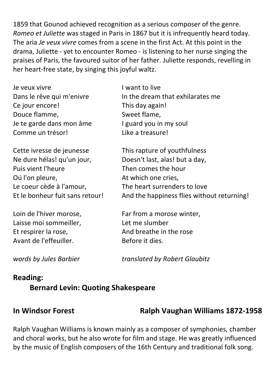1859 that Gounod achieved recognition as a serious composer of the genre. Romeo et Juliette was staged in Paris in 1867 but it is infrequently heard today. The aria Je veux vivre comes from a scene in the first Act. At this point in the drama, Juliette - yet to encounter Romeo - is listening to her nurse singing the praises of Paris, the favoured suitor of her father. Juliette responds, revelling in her heart-free state, by singing this joyful waltz.

| Je veux vivre                   | I want to live                             |
|---------------------------------|--------------------------------------------|
| Dans le rêve qui m'enivre       | In the dream that exhilarates me           |
| Ce jour encore!                 | This day again!                            |
| Douce flamme,                   | Sweet flame,                               |
| Je te garde dans mon âme        | I guard you in my soul                     |
| Comme un trésor!                | Like a treasure!                           |
| Cette ivresse de jeunesse       | This rapture of youthfulness               |
| Ne dure hélas! qu'un jour,      | Doesn't last, alas! but a day,             |
| Puis vient l'heure              | Then comes the hour                        |
| Oú l'on pleure,                 | At which one cries,                        |
| Le coeur cède à l'amour,        | The heart surrenders to love               |
| Et le bonheur fuit sans retour! | And the happiness flies without returning! |
| Loin de l'hiver morose,         | Far from a morose winter,                  |
| Laisse moi sommeiller,          | Let me slumber                             |
| Et respirer la rose,            | And breathe in the rose                    |

words by Jules Barbier

Avant de l'effeuiller.

translated by Robert Glaubitz

### Reading:

### Bernard Levin: Quoting Shakespeare

### In Windsor Forest Ralph Vaughan Williams 1872-1958

Ralph Vaughan Williams is known mainly as a composer of symphonies, chamber and choral works, but he also wrote for film and stage. He was greatly influenced by the music of English composers of the 16th Century and traditional folk song.

Before it dies.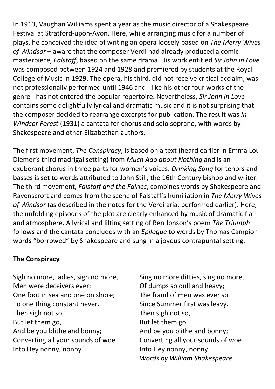In 1913, Vaughan Williams spent a year as the music director of a Shakespeare Festival at Stratford-upon-Avon. Here, while arranging music for a number of plays, he conceived the idea of writing an opera loosely based on The Merry Wives of Windsor – aware that the composer Verdi had already produced a comic masterpiece, Falstaff, based on the same drama. His work entitled Sir John in Love was composed between 1924 and 1928 and premiered by students at the Royal College of Music in 1929. The opera, his third, did not receive critical acclaim, was not professionally performed until 1946 and - like his other four works of the genre - has not entered the popular repertoire. Nevertheless, Sir John in Love contains some delightfully lyrical and dramatic music and it is not surprising that the composer decided to rearrange excerpts for publication. The result was In Windsor Forest (1931) a cantata for chorus and solo soprano, with words by Shakespeare and other Elizabethan authors.

The first movement, The Conspiracy, is based on a text (heard earlier in Emma Lou Diemer's third madrigal setting) from Much Ado about Nothing and is an exuberant chorus in three parts for women's voices. Drinking Song for tenors and basses is set to words attributed to John Still, the 16th Century bishop and writer. The third movement, Falstaff and the Fairies, combines words by Shakespeare and Ravenscroft and comes from the scene of Falstaff's humiliation in The Merry Wives of Windsor (as described in the notes for the Verdi aria, performed earlier). Here, the unfolding episodes of the plot are clearly enhanced by music of dramatic flair and atmosphere. A lyrical and lilting setting of Ben Jonson's poem The Triumph follows and the cantata concludes with an Epilogue to words by Thomas Campion words "borrowed" by Shakespeare and sung in a joyous contrapuntal setting.

### The Conspiracy

Sigh no more, ladies, sigh no more, Men were deceivers ever; One foot in sea and one on shore; To one thing constant never. Then sigh not so, But let them go, And be you blithe and bonny; Converting all your sounds of woe Into Hey nonny, nonny.

Sing no more ditties, sing no more, Of dumps so dull and heavy; The fraud of men was ever so Since Summer first was leavy. Then sigh not so, But let them go, And be you blithe and bonny; Converting all your sounds of woe Into Hey nonny, nonny. Words by William Shakespeare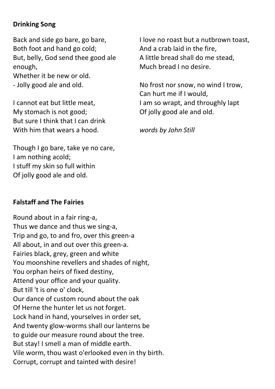### Drinking Song

Back and side go bare, go bare, Both foot and hand go cold; But, belly, God send thee good ale enough, Whether it be new or old.

- Jolly good ale and old.

I cannot eat but little meat, My stomach is not good; But sure I think that I can drink With him that wears a hood.

Though I go bare, take ye no care, I am nothing acold; I stuff my skin so full within Of jolly good ale and old.

### Falstaff and The Fairies

Round about in a fair ring-a, Thus we dance and thus we sing-a, Trip and go, to and fro, over this green-a All about, in and out over this green-a. Fairies black, grey, green and white You moonshine revellers and shades of night, You orphan heirs of fixed destiny, Attend your office and your quality. But till 't is one o' clock, Our dance of custom round about the oak Of Herne the hunter let us not forget. Lock hand in hand, yourselves in order set, And twenty glow-worms shall our lanterns be to guide our measure round about the tree. But stay! I smell a man of middle earth. Vile worm, thou wast o'erlooked even in thy birth. Corrupt, corrupt and tainted with desire!

I love no roast but a nutbrown toast, And a crab laid in the fire, A little bread shall do me stead, Much bread I no desire.

No frost nor snow, no wind I trow, Can hurt me if I would, I am so wrapt, and throughly lapt Of jolly good ale and old.

words by John Still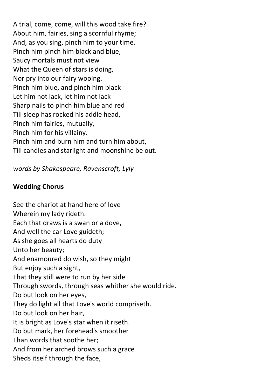A trial, come, come, will this wood take fire? About him, fairies, sing a scornful rhyme; And, as you sing, pinch him to your time. Pinch him pinch him black and blue, Saucy mortals must not view What the Queen of stars is doing, Nor pry into our fairy wooing. Pinch him blue, and pinch him black Let him not lack, let him not lack Sharp nails to pinch him blue and red Till sleep has rocked his addle head, Pinch him fairies, mutually, Pinch him for his villainy. Pinch him and burn him and turn him about, Till candles and starlight and moonshine be out.

words by Shakespeare, Ravenscroft, Lyly

### Wedding Chorus

See the chariot at hand here of love Wherein my lady rideth. Each that draws is a swan or a dove, And well the car Love guideth; As she goes all hearts do duty Unto her beauty; And enamoured do wish, so they might But enjoy such a sight, That they still were to run by her side Through swords, through seas whither she would ride. Do but look on her eyes, They do light all that Love's world compriseth. Do but look on her hair, It is bright as Love's star when it riseth. Do but mark, her forehead's smoother Than words that soothe her; And from her arched brows such a grace Sheds itself through the face,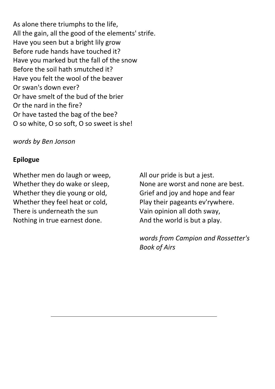As alone there triumphs to the life, All the gain, all the good of the elements' strife. Have you seen but a bright lily grow Before rude hands have touched it? Have you marked but the fall of the snow Before the soil hath smutched it? Have you felt the wool of the beaver Or swan's down ever? Or have smelt of the bud of the brier Or the nard in the fire? Or have tasted the bag of the bee? O so white, O so soft, O so sweet is she!

### words by Ben Jonson

### Epilogue

Whether men do laugh or weep, Whether they do wake or sleep, Whether they die young or old, Whether they feel heat or cold, There is underneath the sun Nothing in true earnest done.

All our pride is but a jest. None are worst and none are best. Grief and joy and hope and fear Play their pageants ev'rywhere. Vain opinion all doth sway, And the world is but a play.

words from Campion and Rossetter's Book of Airs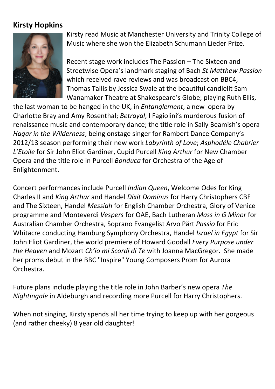# Kirsty Hopkins



Kirsty read Music at Manchester University and Trinity College of Music where she won the Elizabeth Schumann Lieder Prize.

Recent stage work includes The Passion – The Sixteen and Streetwise Opera's landmark staging of Bach St Matthew Passion which received rave reviews and was broadcast on BBC4. Thomas Tallis by Jessica Swale at the beautiful candlelit Sam Wanamaker Theatre at Shakespeare's Globe; playing Ruth Ellis,

the last woman to be hanged in the UK, in Entanglement, a new opera by Charlotte Bray and Amy Rosenthal; Betrayal, I Fagiolini's murderous fusion of renaissance music and contemporary dance; the title role in Sally Beamish's opera Hagar in the Wilderness; being onstage singer for Rambert Dance Company's 2012/13 season performing their new work Labyrinth of Love; Asphodéle Chabrier L'Etoile for Sir John Eliot Gardiner, Cupid Purcell King Arthur for New Chamber Opera and the title role in Purcell Bonduca for Orchestra of the Age of Enlightenment.

Concert performances include Purcell Indian Queen, Welcome Odes for King Charles II and King Arthur and Handel Dixit Dominus for Harry Christophers CBE and The Sixteen, Handel Messiah for English Chamber Orchestra, Glory of Venice programme and Monteverdi Vespers for OAE, Bach Lutheran Mass in G Minor for Australian Chamber Orchestra, Soprano Evangelist Arvo Pärt Passio for Eric Whitacre conducting Hamburg Symphony Orchestra, Handel Israel in Egypt for Sir John Eliot Gardiner, the world premiere of Howard Goodall Every Purpose under the Heaven and Mozart Ch'io mi Scordi di Te with Joanna MacGregor. She made her proms debut in the BBC "Inspire" Young Composers Prom for Aurora Orchestra.

Future plans include playing the title role in John Barber's new opera The Nightingale in Aldeburgh and recording more Purcell for Harry Christophers.

When not singing, Kirsty spends all her time trying to keep up with her gorgeous (and rather cheeky) 8 year old daughter!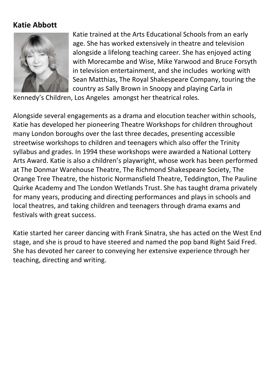# Katie Abbott



Katie trained at the Arts Educational Schools from an early age. She has worked extensively in theatre and television alongside a lifelong teaching career. She has enjoyed acting with Morecambe and Wise, Mike Yarwood and Bruce Forsyth in television entertainment, and she includes working with Sean Matthias, The Royal Shakespeare Company, touring the country as Sally Brown in Snoopy and playing Carla in

Kennedy's Children, Los Angeles amongst her theatrical roles.

Alongside several engagements as a drama and elocution teacher within schools, Katie has developed her pioneering Theatre Workshops for children throughout many London boroughs over the last three decades, presenting accessible streetwise workshops to children and teenagers which also offer the Trinity syllabus and grades. In 1994 these workshops were awarded a National Lottery Arts Award. Katie is also a children's playwright, whose work has been performed at The Donmar Warehouse Theatre, The Richmond Shakespeare Society, The Orange Tree Theatre, the historic Normansfield Theatre, Teddington, The Pauline Quirke Academy and The London Wetlands Trust. She has taught drama privately for many years, producing and directing performances and plays in schools and local theatres, and taking children and teenagers through drama exams and festivals with great success.

Katie started her career dancing with Frank Sinatra, she has acted on the West End stage, and she is proud to have steered and named the pop band Right Said Fred. She has devoted her career to conveying her extensive experience through her teaching, directing and writing.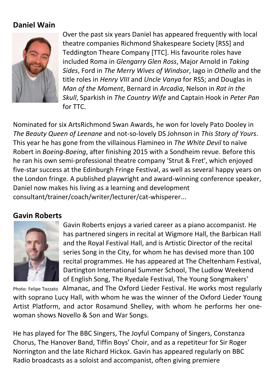# Daniel Wain



Over the past six years Daniel has appeared frequently with local theatre companies Richmond Shakespeare Society [RSS] and Teddington Theare Company [TTC]. His favourite roles have included Roma in Glengarry Glen Ross, Major Arnold in Taking Sides, Ford in The Merry Wives of Windsor, Iago in Othello and the title roles in Henry VIII and Uncle Vanya for RSS; and Douglas in Man of the Moment, Bernard in Arcadia, Nelson in Rat in the Skull, Sparkish in The Country Wife and Captain Hook in Peter Pan for TTC.

Nominated for six ArtsRichmond Swan Awards, he won for lovely Pato Dooley in The Beauty Queen of Leenane and not-so-lovely DS Johnson in This Story of Yours. This year he has gone from the villainous Flamineo in The White Devil to naïve Robert in Boeing-Boeing, after finishing 2015 with a Sondheim revue. Before this he ran his own semi-professional theatre company 'Strut & Fret', which enjoyed five-star success at the Edinburgh Fringe Festival, as well as several happy years on the London fringe. A published playwright and award-winning conference speaker, Daniel now makes his living as a learning and development consultant/trainer/coach/writer/lecturer/cat-whisperer...

### Gavin Roberts



Gavin Roberts enjoys a varied career as a piano accompanist. He has partnered singers in recital at Wigmore Hall, the Barbican Hall and the Royal Festival Hall, and is Artistic Director of the recital series Song in the City, for whom he has devised more than 100 recital programmes. He has appeared at The Cheltenham Festival, Dartington International Summer School, The Ludlow Weekend of English Song, The Ryedale Festival, The Young Songmakers'

Photo: Felipe Tozzato Almanac, and The Oxford Lieder Festival. He works most regularly with soprano Lucy Hall, with whom he was the winner of the Oxford Lieder Young Artist Platform, and actor Rosamund Shelley, with whom he performs her onewoman shows Novello & Son and War Songs.

He has played for The BBC Singers, The Joyful Company of Singers, Constanza Chorus, The Hanover Band, Tiffin Boys' Choir, and as a repetiteur for Sir Roger Norrington and the late Richard Hickox. Gavin has appeared regularly on BBC Radio broadcasts as a soloist and accompanist, often giving premiere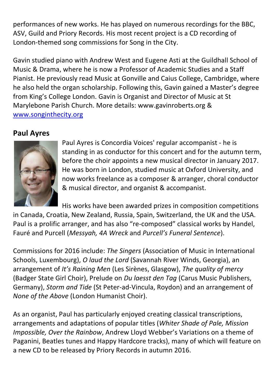performances of new works. He has played on numerous recordings for the BBC, ASV, Guild and Priory Records. His most recent project is a CD recording of London-themed song commissions for Song in the City.

Gavin studied piano with Andrew West and Eugene Asti at the Guildhall School of Music & Drama, where he is now a Professor of Academic Studies and a Staff Pianist. He previously read Music at Gonville and Caius College, Cambridge, where he also held the organ scholarship. Following this, Gavin gained a Master's degree from King's College London. Gavin is Organist and Director of Music at St Marylebone Parish Church. More details: www.gavinroberts.org & www.songinthecity.org

# Paul Ayres



Paul Ayres is Concordia Voices' regular accompanist - he is standing in as conductor for this concert and for the autumn term, before the choir appoints a new musical director in January 2017. He was born in London, studied music at Oxford University, and now works freelance as a composer & arranger, choral conductor & musical director, and organist & accompanist.

His works have been awarded prizes in composition competitions in Canada, Croatia, New Zealand, Russia, Spain, Switzerland, the UK and the USA. Paul is a prolific arranger, and has also "re-composed" classical works by Handel, Fauré and Purcell (Messyah, 4A Wreck and Purcell's Funeral Sentence).

Commissions for 2016 include: The Singers (Association of Music in International Schools, Luxembourg), O laud the Lord (Savannah River Winds, Georgia), an arrangement of It's Raining Men (Les Sirènes, Glasgow), The quality of mercy (Badger State Girl Choir), Prelude on Du laesst den Tag (Carus Music Publishers, Germany), Storm and Tide (St Peter-ad-Vincula, Roydon) and an arrangement of None of the Above (London Humanist Choir).

As an organist, Paul has particularly enjoyed creating classical transcriptions, arrangements and adaptations of popular titles (Whiter Shade of Pale, Mission Impossible, Over the Rainbow, Andrew Lloyd Webber's Variations on a theme of Paganini, Beatles tunes and Happy Hardcore tracks), many of which will feature on a new CD to be released by Priory Records in autumn 2016.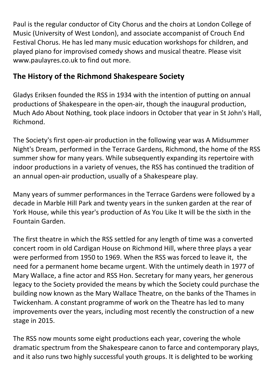Paul is the regular conductor of City Chorus and the choirs at London College of Music (University of West London), and associate accompanist of Crouch End Festival Chorus. He has led many music education workshops for children, and played piano for improvised comedy shows and musical theatre. Please visit www.paulayres.co.uk to find out more.

# The History of the Richmond Shakespeare Society

Gladys Eriksen founded the RSS in 1934 with the intention of putting on annual productions of Shakespeare in the open-air, though the inaugural production, Much Ado About Nothing, took place indoors in October that year in St John's Hall, Richmond.

The Society's first open-air production in the following year was A Midsummer Night's Dream, performed in the Terrace Gardens, Richmond, the home of the RSS summer show for many years. While subsequently expanding its repertoire with indoor productions in a variety of venues, the RSS has continued the tradition of an annual open-air production, usually of a Shakespeare play.

Many years of summer performances in the Terrace Gardens were followed by a decade in Marble Hill Park and twenty years in the sunken garden at the rear of York House, while this year's production of As You Like It will be the sixth in the Fountain Garden.

The first theatre in which the RSS settled for any length of time was a converted concert room in old Cardigan House on Richmond Hill, where three plays a year were performed from 1950 to 1969. When the RSS was forced to leave it, the need for a permanent home became urgent. With the untimely death in 1977 of Mary Wallace, a fine actor and RSS Hon. Secretary for many years, her generous legacy to the Society provided the means by which the Society could purchase the building now known as the Mary Wallace Theatre, on the banks of the Thames in Twickenham. A constant programme of work on the Theatre has led to many improvements over the years, including most recently the construction of a new stage in 2015.

The RSS now mounts some eight productions each year, covering the whole dramatic spectrum from the Shakespeare canon to farce and contemporary plays, and it also runs two highly successful youth groups. It is delighted to be working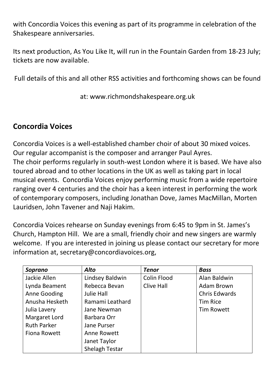with Concordia Voices this evening as part of its programme in celebration of the Shakespeare anniversaries.

Its next production, As You Like It, will run in the Fountain Garden from 18-23 July; tickets are now available.

Full details of this and all other RSS activities and forthcoming shows can be found

at: www.richmondshakespeare.org.uk

# Concordia Voices

Concordia Voices is a well-established chamber choir of about 30 mixed voices. Our regular accompanist is the composer and arranger Paul Ayres. The choir performs regularly in south-west London where it is based. We have also toured abroad and to other locations in the UK as well as taking part in local musical events. Concordia Voices enjoy performing music from a wide repertoire ranging over 4 centuries and the choir has a keen interest in performing the work of contemporary composers, including Jonathan Dove, James MacMillan, Morten Lauridsen, John Tavener and Naji Hakim.

Concordia Voices rehearse on Sunday evenings from 6:45 to 9pm in St. James's Church, Hampton Hill. We are a small, friendly choir and new singers are warmly welcome. If you are interested in joining us please contact our secretary for more information at, secretary@concordiavoices.org,

| Soprano            | <b>Alto</b>           | <b>Tenor</b>      | <b>Bass</b>          |
|--------------------|-----------------------|-------------------|----------------------|
| Jackie Allen       | Lindsey Baldwin       | Colin Flood       | Alan Baldwin         |
| Lynda Beament      | Rebecca Bevan         | <b>Clive Hall</b> | Adam Brown           |
| Anne Gooding       | <b>Julie Hall</b>     |                   | <b>Chris Edwards</b> |
| Anusha Hesketh     | Ramami Leathard       |                   | <b>Tim Rice</b>      |
| Julia Lavery       | Jane Newman           |                   | <b>Tim Rowett</b>    |
| Margaret Lord      | Barbara Orr           |                   |                      |
| <b>Ruth Parker</b> | <b>Jane Purser</b>    |                   |                      |
| Fiona Rowett       | Anne Rowett           |                   |                      |
|                    | Janet Taylor          |                   |                      |
|                    | <b>Shelagh Testar</b> |                   |                      |